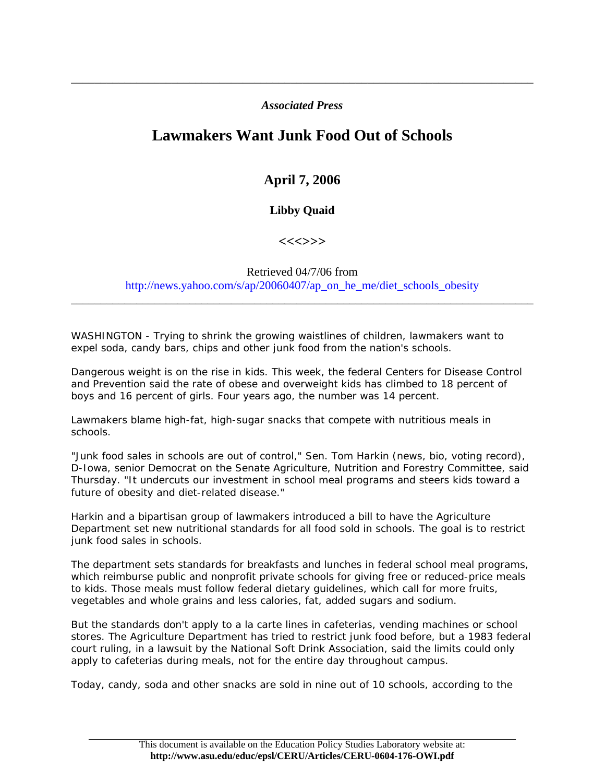#### *Associated Press*

\_\_\_\_\_\_\_\_\_\_\_\_\_\_\_\_\_\_\_\_\_\_\_\_\_\_\_\_\_\_\_\_\_\_\_\_\_\_\_\_\_\_\_\_\_\_\_\_\_\_\_\_\_\_\_\_\_\_\_\_\_\_\_\_\_\_\_\_\_\_\_\_\_\_\_\_\_\_

# **Lawmakers Want Junk Food Out of Schools**

# **April 7, 2006**

## **Libby Quaid**

### **<<<>>>**

#### Retrieved 04/7/06 from http://news.yahoo.com/s/ap/20060407/ap\_on\_he\_me/diet\_schools\_obesity

\_\_\_\_\_\_\_\_\_\_\_\_\_\_\_\_\_\_\_\_\_\_\_\_\_\_\_\_\_\_\_\_\_\_\_\_\_\_\_\_\_\_\_\_\_\_\_\_\_\_\_\_\_\_\_\_\_\_\_\_\_\_\_\_\_\_\_\_\_\_\_\_\_\_\_\_\_\_

WASHINGTON - Trying to shrink the growing waistlines of children, lawmakers want to expel soda, candy bars, chips and other junk food from the nation's schools.

Dangerous weight is on the rise in kids. This week, the federal Centers for Disease Control and Prevention said the rate of obese and overweight kids has climbed to 18 percent of boys and 16 percent of girls. Four years ago, the number was 14 percent.

Lawmakers blame high-fat, high-sugar snacks that compete with nutritious meals in schools.

"Junk food sales in schools are out of control," Sen. Tom Harkin (news, bio, voting record), D-Iowa, senior Democrat on the Senate Agriculture, Nutrition and Forestry Committee, said Thursday. "It undercuts our investment in school meal programs and steers kids toward a future of obesity and diet-related disease."

Harkin and a bipartisan group of lawmakers introduced a bill to have the Agriculture Department set new nutritional standards for all food sold in schools. The goal is to restrict junk food sales in schools.

The department sets standards for breakfasts and lunches in federal school meal programs, which reimburse public and nonprofit private schools for giving free or reduced-price meals to kids. Those meals must follow federal dietary guidelines, which call for more fruits, vegetables and whole grains and less calories, fat, added sugars and sodium.

But the standards don't apply to a la carte lines in cafeterias, vending machines or school stores. The Agriculture Department has tried to restrict junk food before, but a 1983 federal court ruling, in a lawsuit by the National Soft Drink Association, said the limits could only apply to cafeterias during meals, not for the entire day throughout campus.

Today, candy, soda and other snacks are sold in nine out of 10 schools, according to the